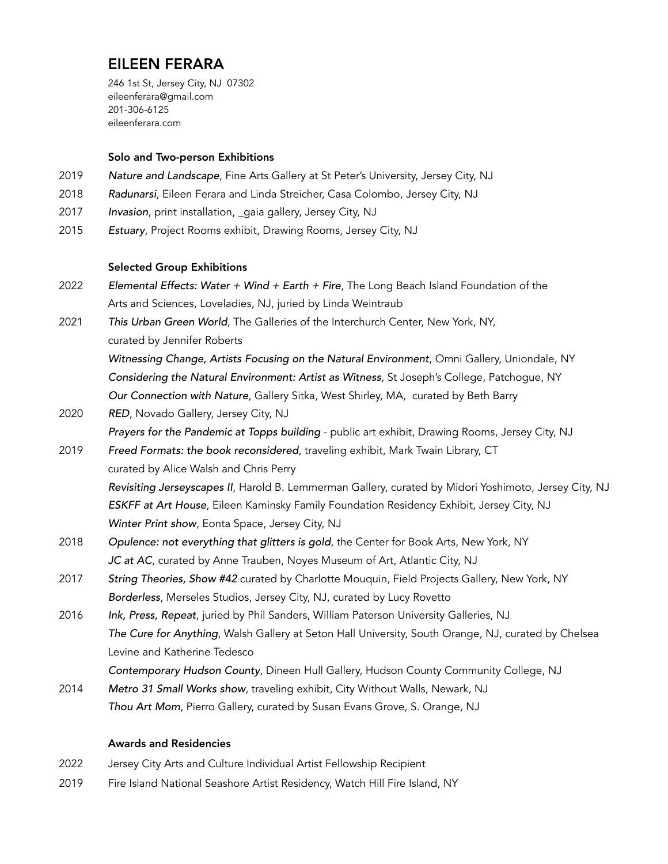# EILEEN FERARA

246 1st St, Jersey City, NJ 07302 eileenferara@gmail.com 201-306-6125 [eileenferara.com](http://eileenferara.com)

## Solo and Two-person Exhibitions

- 2019 *Nature and Landscape*, Fine Arts Gallery at St Peter's University, Jersey City, NJ
- 2018 *Radunarsi*, Eileen Ferara and Linda Streicher, Casa Colombo, Jersey City, NJ
- 2017 *Invasion*, print installation, \_gaia gallery, Jersey City, NJ
- 2015 *Estuary*, Project Rooms exhibit, Drawing Rooms, Jersey City, NJ

#### Selected Group Exhibitions

- 2022 *Elemental Effects: Water + Wind + Earth + Fire*, The Long Beach Island Foundation of the Arts and Sciences, Loveladies, NJ, juried by Linda Weintraub
- 2021 *This Urban Green World*, The Galleries of the Interchurch Center, New York, NY,

curated by Jennifer Roberts

*Witnessing Change, Artists Focusing on the Natural Environment*, Omni Gallery, Uniondale, NY *Considering the Natural Environment: Artist as Witness*, St Joseph's College, Patchogue, NY *Our Connection with Nature*, Gallery Sitka, West Shirley, MA, curated by Beth Barry

2020 *RED*, Novado Gallery, Jersey City, NJ

*Prayers for the Pandemic at Topps building* - public art exhibit, Drawing Rooms, Jersey City, NJ

- 2019 *Freed Formats: the book reconsidered*, traveling exhibit, Mark Twain Library, CT curated by Alice Walsh and Chris Perry *Revisiting Jerseyscapes II*, Harold B. Lemmerman Gallery, curated by Midori Yoshimoto, Jersey City, NJ *ESKFF at Art House*, Eileen Kaminsky Family Foundation Residency Exhibit, Jersey City, NJ *Winter Print show*, Eonta Space, Jersey City, NJ
- 2018 *Opulence: not everything that glitters is gold*, the Center for Book Arts, New York, NY *JC at AC*, curated by Anne Trauben, Noyes Museum of Art, Atlantic City, NJ
- 2017 *String Theories, Show #42* curated by Charlotte Mouquin, Field Projects Gallery, New York, NY *Borderless*, Merseles Studios, Jersey City, NJ, curated by Lucy Rovetto
- 2016 *Ink, Press, Repeat*, juried by Phil Sanders, William Paterson University Galleries, NJ *The Cure for Anything*, Walsh Gallery at Seton Hall University, South Orange, NJ, curated by Chelsea Levine and Katherine Tedesco

*Contemporary Hudson County*, Dineen Hull Gallery, Hudson County Community College, NJ

2014 *Metro 31 Small Works show*, traveling exhibit, City Without Walls, Newark, NJ *Thou Art Mom*, Pierro Gallery, curated by Susan Evans Grove, S. Orange, NJ

# Awards and Residencies

- 2022 Jersey City Arts and Culture Individual Artist Fellowship Recipient
- 2019 Fire Island National Seashore Artist Residency, Watch Hill Fire Island, NY